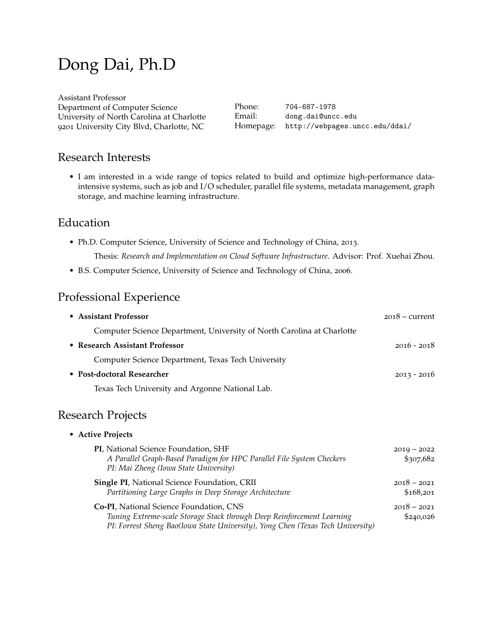# Dong Dai, Ph.D

| Phone: | 704-687-1978                             |
|--------|------------------------------------------|
| Email: | dong.dai@uncc.edu                        |
|        | Homepage: http://webpages.uncc.edu/ddai/ |
|        |                                          |

### Research Interests

• I am interested in a wide range of topics related to build and optimize high-performance dataintensive systems, such as job and I/O scheduler, parallel file systems, metadata management, graph storage, and machine learning infrastructure.

# Education

• Ph.D. Computer Science, University of Science and Technology of China, 2013.

Thesis: *Research and Implementation on Cloud Software Infrastructure*. Advisor: Prof. Xuehai Zhou.

• B.S. Computer Science, University of Science and Technology of China, 2006.

# Professional Experience

| • Assistant Professor                                                  | $2018 - current$ |
|------------------------------------------------------------------------|------------------|
| Computer Science Department, University of North Carolina at Charlotte |                  |
| • Research Assistant Professor                                         | $2016 - 2018$    |
| Computer Science Department, Texas Tech University                     |                  |
| • Post-doctoral Researcher                                             | $2013 - 2016$    |
| Texas Tech University and Argonne National Lab.                        |                  |

# Research Projects

### • **Active Projects**

| PI, National Science Foundation, SHF<br>A Parallel Graph-Based Paradigm for HPC Parallel File System Checkers<br>PI: Mai Zheng (Iowa State University)                                                      | $2019 - 2022$<br>\$307,682 |
|-------------------------------------------------------------------------------------------------------------------------------------------------------------------------------------------------------------|----------------------------|
| <b>Single PI, National Science Foundation, CRII</b><br>Partitioning Large Graphs in Deep Storage Architecture                                                                                               | $2018 - 2021$<br>\$168,201 |
| <b>Co-PI, National Science Foundation, CNS</b><br>Tuning Extreme-scale Storage Stack through Deep Reinforcement Learning<br>PI: Forrest Sheng Bao(Iowa State University), Yong Chen (Texas Tech University) | $2018 - 2021$<br>\$240,026 |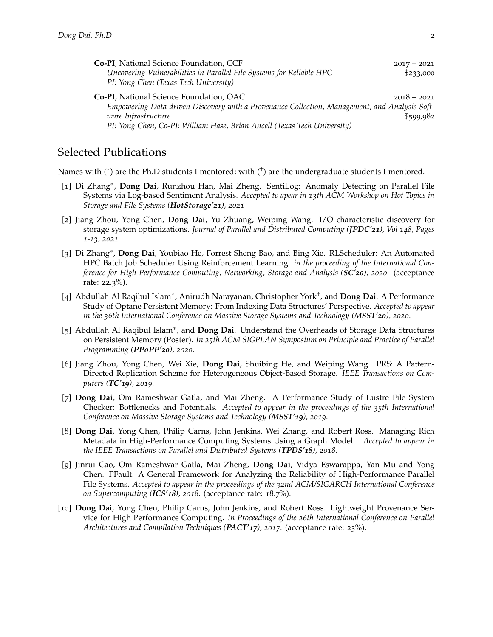| <b>Co-PI</b> , National Science Foundation, CCF<br>Uncovering Vulnerabilities in Parallel File Systems for Reliable HPC<br>PI: Yong Chen (Texas Tech University) | $2017 - 2021$<br>\$23,000 |
|------------------------------------------------------------------------------------------------------------------------------------------------------------------|---------------------------|
| Co-PI, National Science Foundation, OAC<br>Empowering Data-driven Discovery with a Provenance Collection, Management, and Analysis Soft-                         | $2018 - 2021$             |
| ware Infrastructure                                                                                                                                              | \$599.982                 |
| PI: Yong Chen, Co-PI: William Hase, Brian Ancell (Texas Tech University)                                                                                         |                           |

### Selected Publications

Names with (\*) are the Ph.D students I mentored; with ( $\dagger$ ) are the undergraduate students I mentored.

- [1] Di Zhang<sup>∗</sup> , **Dong Dai**, Runzhou Han, Mai Zheng. SentiLog: Anomaly Detecting on Parallel File Systems via Log-based Sentiment Analysis. *Accepted to apear in 13th ACM Workshop on Hot Topics in Storage and File Systems (HotStorage'21), 2021*
- [2] Jiang Zhou, Yong Chen, **Dong Dai**, Yu Zhuang, Weiping Wang. I/O characteristic discovery for storage system optimizations. *Journal of Parallel and Distributed Computing (JPDC'21), Vol 148, Pages 1-13, 2021*
- [3] Di Zhang<sup>∗</sup> , **Dong Dai**, Youbiao He, Forrest Sheng Bao, and Bing Xie. RLScheduler: An Automated HPC Batch Job Scheduler Using Reinforcement Learning. *in the proceeding of the International Conference for High Performance Computing, Networking, Storage and Analysis (SC'20), 2020.* (acceptance rate: 22.3%).
- [4] Abdullah Al Raqibul Islam<sup>∗</sup> , Anirudh Narayanan, Christopher York† , and **Dong Dai**. A Performance Study of Optane Persistent Memory: From Indexing Data Structures' Perspective. *Accepted to appear in the 36th International Conference on Massive Storage Systems and Technology (MSST'20), 2020.*
- [5] Abdullah Al Raqibul Islam<sup>\*</sup>, and Dong Dai. Understand the Overheads of Storage Data Structures on Persistent Memory (Poster). *In 25th ACM SIGPLAN Symposium on Principle and Practice of Parallel Programming (PPoPP'20), 2020.*
- [6] Jiang Zhou, Yong Chen, Wei Xie, **Dong Dai**, Shuibing He, and Weiping Wang. PRS: A Pattern-Directed Replication Scheme for Heterogeneous Object-Based Storage. *IEEE Transactions on Computers (TC'19), 2019.*
- [7] **Dong Dai**, Om Rameshwar Gatla, and Mai Zheng. A Performance Study of Lustre File System Checker: Bottlenecks and Potentials. *Accepted to appear in the proceedings of the 35th International Conference on Massive Storage Systems and Technology (MSST'19), 2019.*
- [8] **Dong Dai**, Yong Chen, Philip Carns, John Jenkins, Wei Zhang, and Robert Ross. Managing Rich Metadata in High-Performance Computing Systems Using a Graph Model. *Accepted to appear in the IEEE Transactions on Parallel and Distributed Systems (TPDS'18), 2018.*
- [9] Jinrui Cao, Om Rameshwar Gatla, Mai Zheng, **Dong Dai**, Vidya Eswarappa, Yan Mu and Yong Chen. PFault: A General Framework for Analyzing the Reliability of High-Performance Parallel File Systems. *Accepted to appear in the proceedings of the 32nd ACM/SIGARCH International Conference on Supercomputing (ICS'18), 2018.* (acceptance rate: 18.7%).
- [10] **Dong Dai**, Yong Chen, Philip Carns, John Jenkins, and Robert Ross. Lightweight Provenance Service for High Performance Computing. *In Proceedings of the 26th International Conference on Parallel Architectures and Compilation Techniques (PACT'17), 2017.* (acceptance rate: 23%).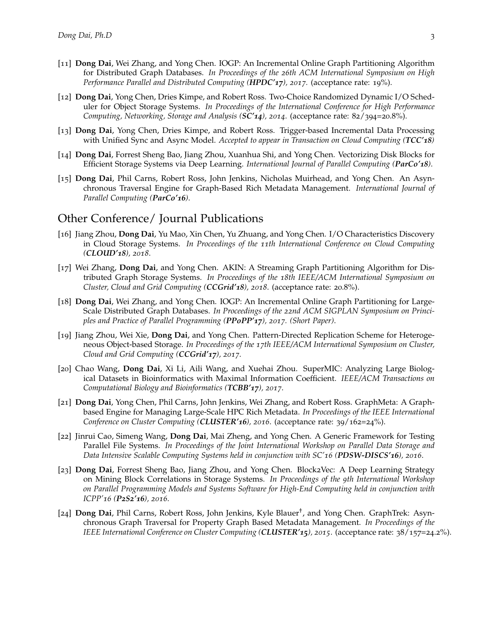- [11] **Dong Dai**, Wei Zhang, and Yong Chen. IOGP: An Incremental Online Graph Partitioning Algorithm for Distributed Graph Databases. *In Proceedings of the 26th ACM International Symposium on High Performance Parallel and Distributed Computing (HPDC'17), 2017.* (acceptance rate: 19%).
- [12] **Dong Dai**, Yong Chen, Dries Kimpe, and Robert Ross. Two-Choice Randomized Dynamic I/O Scheduler for Object Storage Systems. *In Proceedings of the International Conference for High Performance Computing, Networking, Storage and Analysis (SC'14), 2014*. (acceptance rate: 82/394=20.8%).
- [13] **Dong Dai**, Yong Chen, Dries Kimpe, and Robert Ross. Trigger-based Incremental Data Processing with Unified Sync and Async Model. *Accepted to appear in Transaction on Cloud Computing (TCC'18)*
- [14] **Dong Dai**, Forrest Sheng Bao, Jiang Zhou, Xuanhua Shi, and Yong Chen. Vectorizing Disk Blocks for Efficient Storage Systems via Deep Learning. *International Journal of Parallel Computing (ParCo'18)*.
- [15] **Dong Dai**, Phil Carns, Robert Ross, John Jenkins, Nicholas Muirhead, and Yong Chen. An Asynchronous Traversal Engine for Graph-Based Rich Metadata Management. *International Journal of Parallel Computing (ParCo'16)*.

### Other Conference/ Journal Publications

- [16] Jiang Zhou, **Dong Dai**, Yu Mao, Xin Chen, Yu Zhuang, and Yong Chen. I/O Characteristics Discovery in Cloud Storage Systems. *In Proceedings of the 11th International Conference on Cloud Computing (CLOUD'18), 2018*.
- [17] Wei Zhang, **Dong Dai**, and Yong Chen. AKIN: A Streaming Graph Partitioning Algorithm for Distributed Graph Storage Systems. *In Proceedings of the 18th IEEE/ACM International Symposium on Cluster, Cloud and Grid Computing (CCGrid'18), 2018*. (acceptance rate: 20.8%).
- [18] **Dong Dai**, Wei Zhang, and Yong Chen. IOGP: An Incremental Online Graph Partitioning for Large-Scale Distributed Graph Databases. *In Proceedings of the 22nd ACM SIGPLAN Symposium on Principles and Practice of Parallel Programming (PPoPP'17), 2017. (Short Paper)*.
- [19] Jiang Zhou, Wei Xie, **Dong Dai**, and Yong Chen. Pattern-Directed Replication Scheme for Heterogeneous Object-based Storage. *In Proceedings of the 17th IEEE/ACM International Symposium on Cluster, Cloud and Grid Computing (CCGrid'17), 2017*.
- [20] Chao Wang, **Dong Dai**, Xi Li, Aili Wang, and Xuehai Zhou. SuperMIC: Analyzing Large Biological Datasets in Bioinformatics with Maximal Information Coefficient. *IEEE/ACM Transactions on Computational Biology and Bioinformatics (TCBB'17), 2017*.
- [21] **Dong Dai**, Yong Chen, Phil Carns, John Jenkins, Wei Zhang, and Robert Ross. GraphMeta: A Graphbased Engine for Managing Large-Scale HPC Rich Metadata. *In Proceedings of the IEEE International Conference on Cluster Computing (CLUSTER'16), 2016*. (acceptance rate: 39/162=24%).
- [22] Jinrui Cao, Simeng Wang, **Dong Dai**, Mai Zheng, and Yong Chen. A Generic Framework for Testing Parallel File Systems. *In Proceedings of the Joint International Workshop on Parallel Data Storage and Data Intensive Scalable Computing Systems held in conjunction with SC'16 (PDSW-DISCS'16), 2016*.
- [23] **Dong Dai**, Forrest Sheng Bao, Jiang Zhou, and Yong Chen. Block2Vec: A Deep Learning Strategy on Mining Block Correlations in Storage Systems. *In Proceedings of the 9th International Workshop on Parallel Programming Models and Systems Software for High-End Computing held in conjunction with ICPP'16 (P2S2'16), 2016*.
- [24] **Dong Dai**, Phil Carns, Robert Ross, John Jenkins, Kyle Blauer† , and Yong Chen. GraphTrek: Asynchronous Graph Traversal for Property Graph Based Metadata Management. *In Proceedings of the IEEE International Conference on Cluster Computing (CLUSTER'15), 2015*. (acceptance rate: 38/157=24.2%).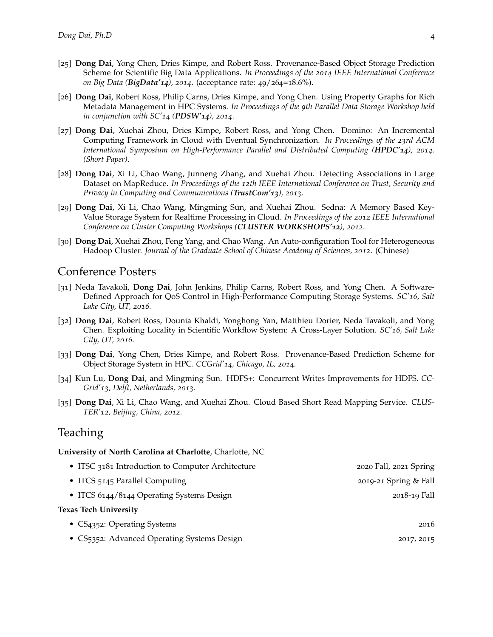- [25] **Dong Dai**, Yong Chen, Dries Kimpe, and Robert Ross. Provenance-Based Object Storage Prediction Scheme for Scientific Big Data Applications. *In Proceedings of the 2014 IEEE International Conference on Big Data (BigData'14), 2014*. (acceptance rate: 49/264=18.6%).
- [26] **Dong Dai**, Robert Ross, Philip Carns, Dries Kimpe, and Yong Chen. Using Property Graphs for Rich Metadata Management in HPC Systems. *In Proceedings of the 9th Parallel Data Storage Workshop held in conjunction with SC'14 (PDSW'14), 2014*.
- [27] **Dong Dai**, Xuehai Zhou, Dries Kimpe, Robert Ross, and Yong Chen. Domino: An Incremental Computing Framework in Cloud with Eventual Synchronization. *In Proceedings of the 23rd ACM International Symposium on High-Performance Parallel and Distributed Computing (HPDC'14), 2014. (Short Paper)*.
- [28] **Dong Dai**, Xi Li, Chao Wang, Junneng Zhang, and Xuehai Zhou. Detecting Associations in Large Dataset on MapReduce. *In Proceedings of the 12th IEEE International Conference on Trust, Security and Privacy in Computing and Communications (TrustCom'13), 2013*.
- [29] **Dong Dai**, Xi Li, Chao Wang, Mingming Sun, and Xuehai Zhou. Sedna: A Memory Based Key-Value Storage System for Realtime Processing in Cloud. *In Proceedings of the 2012 IEEE International Conference on Cluster Computing Workshops (CLUSTER WORKSHOPS'12), 2012*.
- [30] **Dong Dai**, Xuehai Zhou, Feng Yang, and Chao Wang. An Auto-configuration Tool for Heterogeneous Hadoop Cluster. *Journal of the Graduate School of Chinese Academy of Sciences, 2012*. (Chinese)

### Conference Posters

- [31] Neda Tavakoli, **Dong Dai**, John Jenkins, Philip Carns, Robert Ross, and Yong Chen. A Software-Defined Approach for QoS Control in High-Performance Computing Storage Systems. *SC'16, Salt Lake City, UT, 2016.*
- [32] **Dong Dai**, Robert Ross, Dounia Khaldi, Yonghong Yan, Matthieu Dorier, Neda Tavakoli, and Yong Chen. Exploiting Locality in Scientific Workflow System: A Cross-Layer Solution. *SC'16, Salt Lake City, UT, 2016.*
- [33] **Dong Dai**, Yong Chen, Dries Kimpe, and Robert Ross. Provenance-Based Prediction Scheme for Object Storage System in HPC. *CCGrid'14, Chicago, IL, 2014.*
- [34] Kun Lu, **Dong Dai**, and Mingming Sun. HDFS+: Concurrent Writes Improvements for HDFS. *CC-Grid'13, Delft, Netherlands, 2013.*
- [35] **Dong Dai**, Xi Li, Chao Wang, and Xuehai Zhou. Cloud Based Short Read Mapping Service. *CLUS-TER'12, Beijing, China, 2012.*

### Teaching

#### **University of North Carolina at Charlotte**, Charlotte, NC

| • ITSC 3181 Introduction to Computer Architecture | 2020 Fall, 2021 Spring |
|---------------------------------------------------|------------------------|
| • ITCS 5145 Parallel Computing                    | 2019-21 Spring & Fall  |
| • ITCS 6144/8144 Operating Systems Design         | 2018-19 Fall           |
| Texas Tech University                             |                        |
| • $CS4352$ : Operating Systems                    | 2016                   |
| • CS5352: Advanced Operating Systems Design       | 2017, 2015             |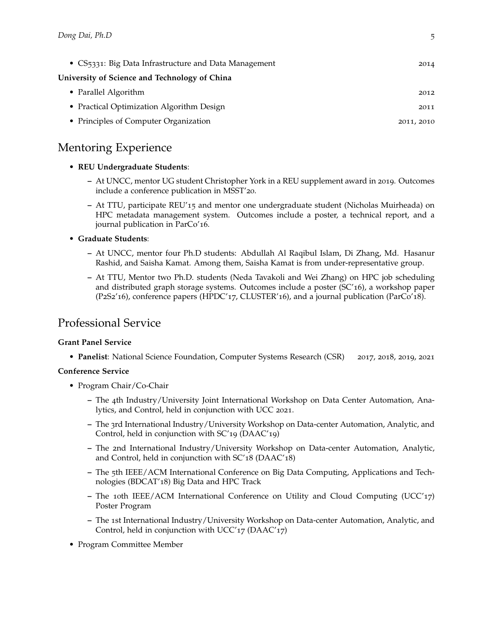| • CS5331: Big Data Infrastructure and Data Management | 2014       |
|-------------------------------------------------------|------------|
| University of Science and Technology of China         |            |
| • Parallel Algorithm                                  | 2012       |
| • Practical Optimization Algorithm Design             | 2011       |
| • Principles of Computer Organization                 | 2011, 2010 |

# Mentoring Experience

#### • **REU Undergraduate Students**:

- **–** At UNCC, mentor UG student Christopher York in a REU supplement award in 2019. Outcomes include a conference publication in MSST'20.
- **–** At TTU, participate REU'15 and mentor one undergraduate student (Nicholas Muirheada) on HPC metadata management system. Outcomes include a poster, a technical report, and a journal publication in ParCo'16.
- **Graduate Students**:
	- **–** At UNCC, mentor four Ph.D students: Abdullah Al Raqibul Islam, Di Zhang, Md. Hasanur Rashid, and Saisha Kamat. Among them, Saisha Kamat is from under-representative group.
	- **–** At TTU, Mentor two Ph.D. students (Neda Tavakoli and Wei Zhang) on HPC job scheduling and distributed graph storage systems. Outcomes include a poster (SC'16), a workshop paper (P2S2'16), conference papers (HPDC'17, CLUSTER'16), and a journal publication (ParCo'18).

## Professional Service

### **Grant Panel Service**

• **Panelist**: National Science Foundation, Computer Systems Research (CSR) 2017, 2018, 2019, 2021

### **Conference Service**

- Program Chair/Co-Chair
	- **–** The 4th Industry/University Joint International Workshop on Data Center Automation, Analytics, and Control, held in conjunction with UCC 2021.
	- **–** The 3rd International Industry/University Workshop on Data-center Automation, Analytic, and Control, held in conjunction with SC'19 (DAAC'19)
	- **–** The 2nd International Industry/University Workshop on Data-center Automation, Analytic, and Control, held in conjunction with SC'18 (DAAC'18)
	- **–** The 5th IEEE/ACM International Conference on Big Data Computing, Applications and Technologies (BDCAT'18) Big Data and HPC Track
	- **–** The 10th IEEE/ACM International Conference on Utility and Cloud Computing (UCC'17) Poster Program
	- **–** The 1st International Industry/University Workshop on Data-center Automation, Analytic, and Control, held in conjunction with UCC'17 (DAAC'17)
- Program Committee Member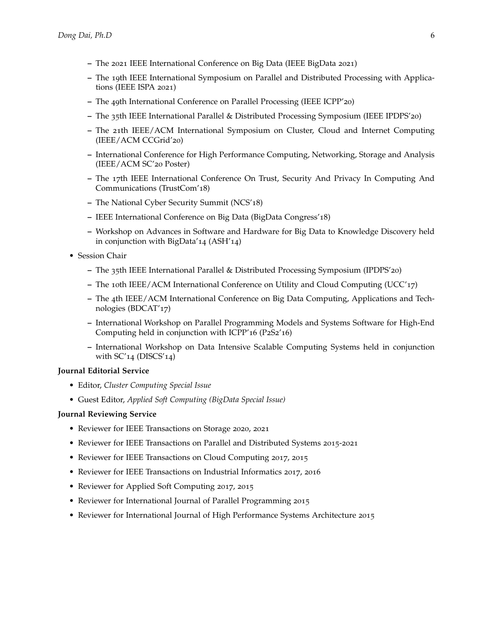- **–** The 2021 IEEE International Conference on Big Data (IEEE BigData 2021)
- **–** The 19th IEEE International Symposium on Parallel and Distributed Processing with Applications (IEEE ISPA 2021)
- **–** The 49th International Conference on Parallel Processing (IEEE ICPP'20)
- **–** The 35th IEEE International Parallel & Distributed Processing Symposium (IEEE IPDPS'20)
- **–** The 21th IEEE/ACM International Symposium on Cluster, Cloud and Internet Computing (IEEE/ACM CCGrid'20)
- **–** International Conference for High Performance Computing, Networking, Storage and Analysis (IEEE/ACM SC'20 Poster)
- **–** The 17th IEEE International Conference On Trust, Security And Privacy In Computing And Communications (TrustCom'18)
- **–** The National Cyber Security Summit (NCS'18)
- **–** IEEE International Conference on Big Data (BigData Congress'18)
- **–** Workshop on Advances in Software and Hardware for Big Data to Knowledge Discovery held in conjunction with BigData'14 (ASH'14)
- Session Chair
	- **–** The 35th IEEE International Parallel & Distributed Processing Symposium (IPDPS'20)
	- **–** The 10th IEEE/ACM International Conference on Utility and Cloud Computing (UCC'17)
	- **–** The 4th IEEE/ACM International Conference on Big Data Computing, Applications and Technologies (BDCAT'17)
	- **–** International Workshop on Parallel Programming Models and Systems Software for High-End Computing held in conjunction with ICPP'16 (P2S2'16)
	- **–** International Workshop on Data Intensive Scalable Computing Systems held in conjunction with  $SC'_{14}$  (DISCS'<sub>14</sub>)

#### **Journal Editorial Service**

- Editor, *Cluster Computing Special Issue*
- Guest Editor, *Applied Soft Computing (BigData Special Issue)*

#### **Journal Reviewing Service**

- Reviewer for IEEE Transactions on Storage 2020, 2021
- Reviewer for IEEE Transactions on Parallel and Distributed Systems 2015-2021
- Reviewer for IEEE Transactions on Cloud Computing 2017, 2015
- Reviewer for IEEE Transactions on Industrial Informatics 2017, 2016
- Reviewer for Applied Soft Computing 2017, 2015
- Reviewer for International Journal of Parallel Programming 2015
- Reviewer for International Journal of High Performance Systems Architecture 2015